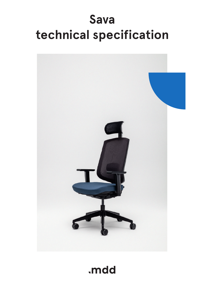# **Sava technical specification**



.mdd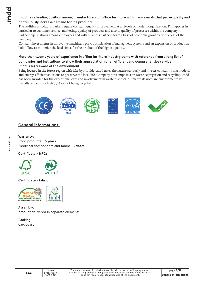## **.mdd has a leading position among manufacturers of office furniture with many awards that prove quality and continuously increase demand for it`s products.**

The realities of today`s market require constant quality improvement at all levels of modern organization. This applies in particular to customer service, marketing, quality of products and also to quality of processes within the company. Partnership relations among employees and with business partners form a base of economic growth and success of the company.

Constant investments in innovative machinery park, optimization of managment systems and an expansion of production halls allow to minimize the lead times for the product of the highest quality.

## **More than twenty years of experience in office furniture industry come with reference from a long list of companies and institutions to show their appreciation for an efficient and comprehensive service. .mdd is higly aware of the environment.**

Being located in the forest region with lake by it1s side, .mdd takes the nature seriously and invests constantly in a modern and energy-efficient solutions to preserve the local life. Company puts emphasis on waste segregation and recycling. .mdd has been awarded for the exceptional care and involvement in waste disposal. All materials used are environmentally friendly and enjoy a high 95 % rate of being recycled.



## **General informations:**

## **Warranty :**

.mdd products - **5 years**. Electrical components and fabric - **2 years**.

## **Certificate - MFC:**



**Certificate - fabric:**



**Assembly:** product delivered in separate elements

**Packing:** cardboard

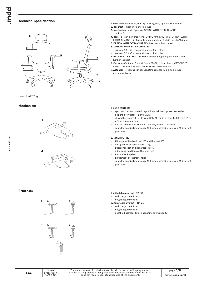## **Technical specification**



#### - max. load 120 kg

### **Mechanism**





- **1. Seat** moulded foam, density of 66 kg/m3; upholstered, sliding
- **2. Backrest -** mesh in Runner colours
- **3. Mechanism -** Auto Synchro; OPTION WITH EXTRA CHARGE Synchro Pro
- **4. Base** 5-star, polypropylene, Ø=680 mm, h=124 mm; OPTION WITH EXTRA CHARGE - 5-star, polished aluminium, Ø=680 mm, h=124 mm
- **5. OPTION WITH EXTRA CHARGE** headrest black mesh
- **6. OPTIONS WITH EXTRA CHARGE:**
- armrest 2D V3 polyurethane, colour: black
- armrest 3D V3 polyurethane, colour: black
- **7. OPTION WITH EXTRA CHARGE -** manual height adjustable (60 mm) lumbar support
- **8. Castors** Ø65 mm, for soft floors PP+PA, colour: black; OPTION WITH EXTRA CHARGE - for hard floors PP+PA, colour: black
- **9. Actuator** steal gas spring; adjustment range 100 mm; colour: chrome or black

#### **1. AUTO SYNCHRO:**

- synchronized automated regulation chair back press mechanism
- designed for usage 45 and 120kg
- allows the backrest to tilt from 0° to 18° and the seat to tilt from 0° to 4,5° at the same time
- it is possible to lock the backrest only in the 0° position
- seat depth adjustment range 100 mm, possibility to lock in 11 different positions

#### **2. SYNCHRO PRO:**

- tilt angle of the backrest 25° and the seat 10°
- designed for usage 45 and 120kg
- additional seat and backrest tilt of 3°
- ź 3 blocking positions of the backrest
- Anti shock system
- adjustment of lateral tension
- seat depth adjustment range 100 mm, possibility to lock in 11 different positions

## **Armrests**



- **1. Adjustable armrest 2D-V3**
- width adjustment (A)
- height adjustment (B)
- **2. Adjustable armrest 3D-V3**
- width adjustment (A)
- height adjustment (B)
- depth adjustment (width adjustment inwards) (C)

The data contained in this document is valid in the day of its preparation.<br>Change of the product, as long as it does not affect the basic features of it,<br>does not require consistent updates of the document. Date of **Date of Date 1** The data contained in this document is valid in the day of its preparation. **Dage 3/11**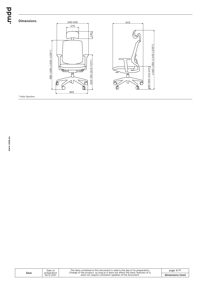## **Dimensions**



\* Auto Synchro

**Sava**

| Date of<br>preparation | The data contained in this document is valid in the day of its preparation.<br>Change of the product, as long as it does not affect the basic features of it, | page $4/11$     |
|------------------------|---------------------------------------------------------------------------------------------------------------------------------------------------------------|-----------------|
| 06.12.2021             | does not require consistent updates of the document.                                                                                                          | dimensions (mm) |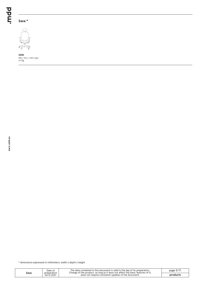## **Sava \***



**SAVA** 660 / 610 / 1160-1350 20 kg

\* dimensions expressed in millimeters: width x depth x height

| Sava | Date of<br>preparation | The data contained in this document is valid in the day of its preparation.<br>Change of the product, as long as it does not affect the basic features of it, | page $5/1$ |
|------|------------------------|---------------------------------------------------------------------------------------------------------------------------------------------------------------|------------|
|      | 06.12.2021             | does not require consistent updates of the document.                                                                                                          | product.   |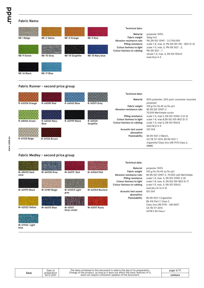**www.mdd.eu**

## **Fabric Nemo**

| NE-1 Beige                         | NE-2 Yellow | NE-3 Orange    | NE-5 Red        | <b>Technical data:</b><br>Material<br>Fabric weight<br>Abrasion resistance rubs     | polyester 100%<br>366g/m2<br>PN_EN ISO 12947 - 2:2 100,000                                                                                                   |  |  |
|------------------------------------|-------------|----------------|-----------------|-------------------------------------------------------------------------------------|--------------------------------------------------------------------------------------------------------------------------------------------------------------|--|--|
| NE-9 Green                         | NE-10 Grey  | NE-14 Graphite | NE-15 Navy blue | <b>Pilling resistance</b><br>Colour fastness to light<br>Colour fastness to rubbing | scale 1-8, max. 8, PN-EN ISO 105 - B02 (3-4)<br>scale 1-5, max. 5, PN-EN 1021 - 2,<br>PN-EN 1021 - 1<br>skcale 1-5, max. 5, EN ISO 105x12<br>(wet/dry) $4-5$ |  |  |
| NE-16 Black                        | NE-17 Blue  |                |                 |                                                                                     |                                                                                                                                                              |  |  |
| Fabric Runner - second price group |             |                |                 |                                                                                     |                                                                                                                                                              |  |  |

**R-63034 Orange R-64089 Red R-66063 Blue R-60011 Grey**

**R-61130 Brown**

**R-68056 Green R-66064 Navy R-60999 Black R-60025 Blue Graphite**

#### **Technical data:**

**Material Fabric weight**

**Abrasion resistance rubs**

**Pilling resistance Colour fastness to light Colour fastness to rubbing**

> **Acoustic test sound absorption Flammability**

#### 80% polyester, 20% post-consumer recycled polyester 510 g/lm (16.45 oz/lin.yd.) BS EN ISO 12947-2 70,000 Martindale cycles scale 1-5, max 5, EN ISO 12945-2 (4-5) scale 1-8, max 8,EN ISO 105-B02 (5-7) scale 1-5, max 5, EN ISO 105x12 (wet/dry) 4-5 ISO 354

BS EN 1021-2 Match, CA TB 117-2013, BS EN 1021-1 (cigarette) Class Uno UNI 9175 Class 2, EMME

**Fabric Medley - second price group**





**R-61128 Beige**

Date of

The data contained in this document is valid in the day of its preparation.<br>Change of the product, as long as it does not affect the basic features of it,<br>does not require consistent updates of the document.

page 6/11 **colours**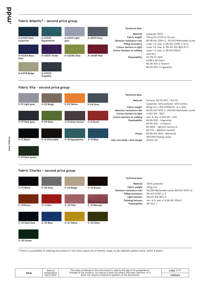## **Fabric Atlantic\* - second price group**







**V-29 Dark green**

## **Fabric Charles - second price group**



**\*** There is a possibility of ordering the product in full colour spectrum of Atlantic range, as per Gabriel's pattern book, within 8 weeks

| Sava | Date of<br>preparation | The data contained in this document is valid in the dav of its preparation.<br>Change of the product, as long as it does not affect the basic features of it, | page $1/1$ |
|------|------------------------|---------------------------------------------------------------------------------------------------------------------------------------------------------------|------------|
|      | 06.12.2021             | does not require consistent updates of the document.                                                                                                          | colours    |
|      |                        |                                                                                                                                                               |            |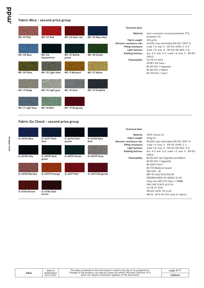**www.mdd.eu**

## **Fabric Mica - second price group**

|                  |                       |                       |                 | <b>Technical data:</b>                                |                                                                                           |
|------------------|-----------------------|-----------------------|-----------------|-------------------------------------------------------|-------------------------------------------------------------------------------------------|
|                  |                       |                       |                 | <b>Material</b>                                       | post-consumer recycled polyester 97%,<br>polyester 3%                                     |
| MC-01 Pink       | MC-02 Red             | MC-03 Dark red        | MC-04 Navy blue | <b>Fabric weight</b>                                  | 305 g/lm                                                                                  |
|                  |                       |                       |                 | Abrasion resistance rubs<br><b>Pilling resistance</b> | 60,000 rubs martindale (EN ISO 12947-2)<br>scale 1-5, max. 5 - EN ISO 12945-2, 4-5        |
|                  |                       |                       |                 | <b>Light fastness</b><br><b>Rubbing fastness</b>      | scale 1-8, max. 8 - EN ISO 105-B02, 5-8<br>dry: 4-5, wet: 4-5, scale 1-5, max. 5 - EN ISO |
| MC-05 Blue       | $MC-06$<br>Aquamarine | MC-07 Bottle<br>green | MC-08 Green     |                                                       | 105x12                                                                                    |
|                  |                       |                       |                 | Flammability                                          | CA TB 117-2013<br>ASTM E 84 Class I                                                       |
|                  |                       |                       |                 |                                                       | BS EN 1021-1 Cigarette                                                                    |
| MC-09 Olive      | MC-10 Light olive     | <b>MC-11 Mustard</b>  | MC-12 Yellow    |                                                       | <b>BS EN 1021-2 Match</b><br>BS 476 Part 7 class I                                        |
|                  |                       |                       |                 |                                                       |                                                                                           |
|                  |                       |                       |                 |                                                       |                                                                                           |
|                  |                       |                       |                 |                                                       |                                                                                           |
| MC-13 Beige      | MC-14 Light grey      | MC-15 Grey            | MC-16 Graphite  |                                                       |                                                                                           |
|                  |                       |                       |                 |                                                       |                                                                                           |
|                  |                       |                       |                 |                                                       |                                                                                           |
| MC-17 Light blue | MC-18 Mint            | MC-19 Burgundy        |                 |                                                       |                                                                                           |

## **Fabric Go Check - second price group**

| G-66136 Blue    | G-66137 Dark<br>blue  | G-66134 Dark<br>purple | G-66138 Navy<br>blue | <b>Technical data:</b><br>Material<br><b>Fabric weight</b><br>Abrasion resistance rubs        | 100% Trevira CS<br>435g/m<br>80,000 rubs martindale (EN ISO 12947-2)                                                                                                                                         |
|-----------------|-----------------------|------------------------|----------------------|-----------------------------------------------------------------------------------------------|--------------------------------------------------------------------------------------------------------------------------------------------------------------------------------------------------------------|
| G-66140 Inky    | G-68149 Dark<br>green | G-68152 Green          | G-60079 Grey         | <b>Pilling resistance</b><br><b>Light fastness</b><br><b>Rubbing fastness</b><br>Flammability | scale 1-5, max. 5 - EN ISO 12945-2, 5<br>scale 1-8, max. 8 - EN ISO 105-B02, 5-8<br>dry: 4-5, wet: 4-5, scale 1-5, max. 5 - EN ISO<br>105x12<br>BS EN 1021 1&2 Cigarette and Match<br>BS EN 1021-1 Cigarette |
| G-64183 Marsala | G-63079 Orange        | G-64171 Red            | G-64172 Burgundy     |                                                                                               | BS 5852 Crib 5<br>BS 7176 Medium hazard<br>DIN 4102 - B1<br>NFP 92-503/504/505 M1<br>ÖNORM A3800-B1-B3825-Q1 UK                                                                                              |
| G-61144 Brown   | G-61145 Dark<br>brown |                        |                      |                                                                                               | Class Uno UNI 9175 Class 11 EMME<br>FAR/JAR 25.853 (a) (i) (ii)<br>CA TB 117-2013<br>DIN EN 13501-1 B-s1,d0<br>AM 18 - NF D 60-013-(only for fabric)                                                         |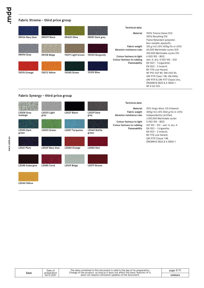## **Fabric Xtreme - third price group**

|                 |              |                   |                 | <b>Technical data:</b>                                                       |                                                                                                                                                  |
|-----------------|--------------|-------------------|-----------------|------------------------------------------------------------------------------|--------------------------------------------------------------------------------------------------------------------------------------------------|
| XR026 Navy blue | XR009 Black  | XR420 Olive       | XR081 Dark grey | Material                                                                     | 100% Trevira Clame (CS)<br>100% Recykling (YS)<br>Flame Retardant polyester.                                                                     |
| XR094 Grey      | XR108 Beige  | YS071 Light brown | YS030 Burgundy  | <b>Fabric weight</b><br>Abrasion resistance rubs<br>Colour fastness to light | Non metallic dyestuffs.<br>310 g/m2 ±5% (435g/lin.m ±5%)<br>60,000 Martindale cycles (CS)<br>100,000 Martindale cycles (YS)<br>6 (ISO 105 - B02) |
|                 |              |                   |                 | Colour fastness to rubbing<br>Flammability                                   | wet: 4, dry: 4 (ISO 105 - X12)<br>EN $1021 - 1$ (cigarette),<br>EN $1021 - 2$ (match)<br>BS 7176 Low Hazard.                                     |
| YS076 Orange    | YS072 Yellow | YS045 Green       | YS100 Blue      |                                                                              | NF P92-507 M1, DIN 4102 B1,<br>UNI 9175 Class 1 IM, UNI 8456.<br>UNI 9174 & UNI 9177 Classe Uno.<br>ÖNORM B 3825 & A 3800-1<br>NF D 60-013       |

## **Fabric Synergy - third price group**



**LDS44 Yellow**

**www.mdd.eu**

**Sava**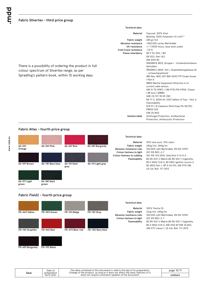|                                                                                                                                                                                           | <b>Technical data:</b>                                                                                                                                                                                                                                                                                                                                                                                                                                                                                                                                                                                                                                                                                                                                                                                                                                   |
|-------------------------------------------------------------------------------------------------------------------------------------------------------------------------------------------|----------------------------------------------------------------------------------------------------------------------------------------------------------------------------------------------------------------------------------------------------------------------------------------------------------------------------------------------------------------------------------------------------------------------------------------------------------------------------------------------------------------------------------------------------------------------------------------------------------------------------------------------------------------------------------------------------------------------------------------------------------------------------------------------------------------------------------------------------------|
| <b>Cold Crack resistance</b><br>There is a possibility of ordering the product in full<br>colour spectrum of Silvertex range, as per<br>Spradling's pattern book, within 15 working days. | Material<br>Topcoat: 100% Vinyl<br>Backing: 100% Polyesterr Hi-Loft <sup>2™</sup><br>685 gr/m2<br><b>Fabric weight</b><br>Abrasion resistance<br>>300,000 cycles Martindale<br>UV-resistance<br>>= 7 (1000 hours, blue wool scale)<br>$-23^{\circ}$ C<br>NF P 92-503 / M2<br><b>Flame retardancy</b><br>EN 1021, Part 1&2<br>DIN 4102 B2<br>ÖNORM B 3825, Gruppe I - Schwerbrennbares<br>Verhalten<br>ÖNORM A 3800, Teil I, Qualmbildungsklasse QI<br>- schwachqualmend<br>IMO Res. MSC.307 (88) (2010 FTP Code) Annex<br>I Part 8<br>(MED) Marine Equipment Directive in its<br>current valid version<br>UNI 91 75 (1987) / UNI 9175/FAI (1994) Classe<br>I.IM (uno I EMME)<br>UNE 23.727-90 IR / M2<br>EN 71-2: 2006+AI: 2007 Safety of Toys - Part 2:<br>Flammability<br>ECE R I I 8 (replaces Directivee 95/28/EC)<br><b>FMVSS 302</b><br>FAR 25/853 |
|                                                                                                                                                                                           | Antimicrobial<br>Antifungal Protection, Antibacterial<br>Protection, Antimycotic Protection                                                                                                                                                                                                                                                                                                                                                                                                                                                                                                                                                                                                                                                                                                                                                              |

## **Fabric Atlas - fourth price group**



## **Fabric Field2 - fourth price group**

|                 |              |                 |                  | <b>Technical data:</b>                   |                                                                                        |
|-----------------|--------------|-----------------|------------------|------------------------------------------|----------------------------------------------------------------------------------------|
|                 |              |                 |                  | Material<br><b>Fabric weight</b>         | 100% Trevira CS<br>321g/m2, 450g/m                                                     |
| FD-463 Yellow   | FD-963 Green | FD-123 Beige    | FD-132 Grey      | Abrasion resistance rubs                 | 100,000 cykli Martindale, EN ISO 12947                                                 |
|                 |              |                 |                  | Colour fastness to light<br>Flammability | ISO 105 B02: 5-7<br>BS EN 1021-2 Match, BS EN 1021-1 Cigarette,                        |
| FD-142 Graphite | FD-662 Red   | FD-673 Blue-red | FD-782 Navy blue |                                          | BS 5 5852 Crib 5, DIN 4102 B1 FAR 25.853,<br>UNI 9177 classe 1, US Cal. Bull. 117-2013 |
|                 |              |                 |                  |                                          |                                                                                        |

**FD-693 Burgundy**

**FD-192 Black**

The data contained in this document is valid in the day of its preparation.<br>Change of the product, as long as it does not affect the basic features of it,<br>does not require consistent updates of the document. page 10/11 **colours Sava** Date of preparation 06.12.2021